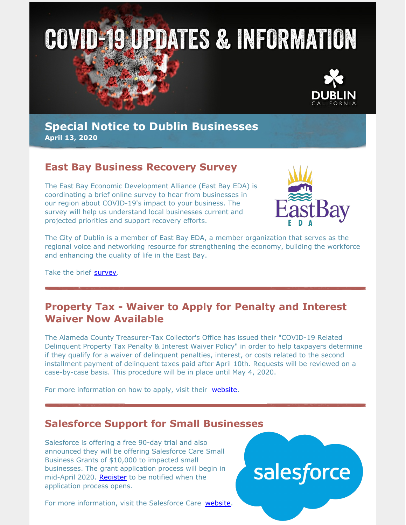



## **Special Notice to Dublin Businesses April 13, 2020**

## **East Bay Business Recovery Survey**

The East Bay Economic Development Alliance (East Bay EDA) is coordinating a brief online survey to hear from businesses in our region about COVID-19's impact to your business. The survey will help us understand local businesses current and projected priorities and support recovery efforts.



The City of Dublin is a member of East Bay EDA, a member organization that serves as the regional voice and networking resource for strengthening the economy, building the workforce and enhancing the quality of life in the East Bay.

Take the brief [survey.](https://bit.ly/2Vk7osH)

## **Property Tax - Waiver to Apply for Penalty and Interest Waiver Now Available**

The Alameda County Treasurer-Tax Collector's Office has issued their "COVID-19 Related Delinquent Property Tax Penalty & Interest Waiver Policy" in order to help taxpayers determine if they qualify for a waiver of delinquent penalties, interest, or costs related to the second installment payment of delinquent taxes paid after April 10th. Requests will be reviewed on a case-by-case basis. This procedure will be in place until May 4, 2020.

For more information on how to apply, visit their [website](https://treasurer.acgov.org/index.page).

# **Salesforce Support for Small Businesses**

Salesforce is offering a free 90-day trial and also announced they will be offering Salesforce Care Small Business Grants of \$10,000 to impacted small businesses. The grant application process will begin in mid-April 2020. [Register](https://essentials.salesforce.com/form/smallbusinessgrants/) to be notified when the application process opens.

For more information, visit the Salesforce Care [website](https://essentials.salesforce.com/salesforce-care-for-small-business/).

# salesforce